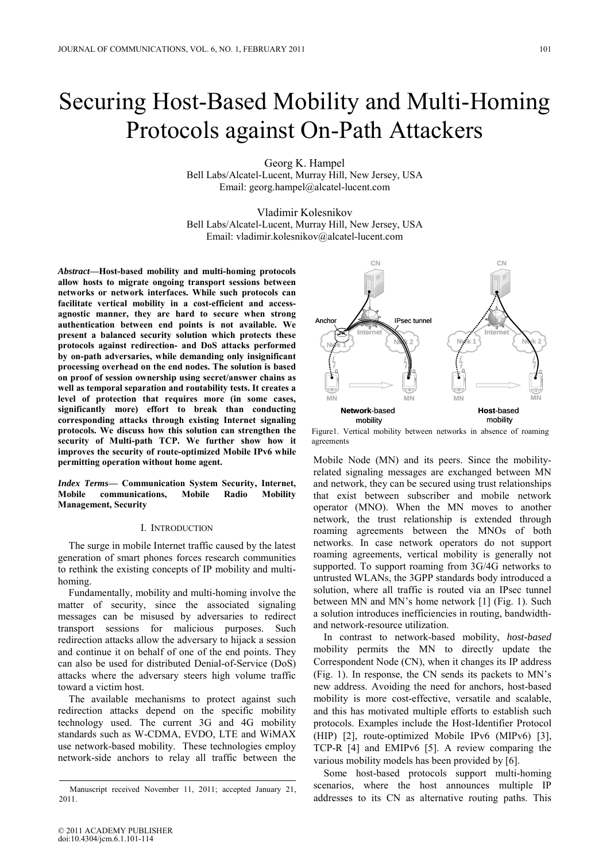# Securing Host-Based Mobility and Multi-Homing Protocols against On-Path Attackers

Georg K. Hampel

Bell Labs/Alcatel-Lucent, Murray Hill, New Jersey, USA Email: georg.hampel@alcatel-lucent.com

Vladimir Kolesnikov Bell Labs/Alcatel-Lucent, Murray Hill, New Jersey, USA Email: vladimir.kolesnikov@alcatel-lucent.com

*Abstract***—Host-based mobility and multi-homing protocols allow hosts to migrate ongoing transport sessions between networks or network interfaces. While such protocols can facilitate vertical mobility in a cost-efficient and accessagnostic manner, they are hard to secure when strong authentication between end points is not available. We present a balanced security solution which protects these protocols against redirection- and DoS attacks performed by on-path adversaries, while demanding only insignificant processing overhead on the end nodes. The solution is based on proof of session ownership using secret/answer chains as well as temporal separation and routability tests. It creates a level of protection that requires more (in some cases, significantly more) effort to break than conducting corresponding attacks through existing Internet signaling protocols. We discuss how this solution can strengthen the security of Multi-path TCP. We further show how it improves the security of route-optimized Mobile IPv6 while permitting operation without home agent.**

*Index Terms***— Communication System Security, Internet, Mobile communications, Mobile Radio Mobility Management, Security**

#### I. INTRODUCTION

The surge in mobile Internet traffic caused by the latest generation of smart phones forces research communities to rethink the existing concepts of IP mobility and multihoming.

Fundamentally, mobility and multi-homing involve the matter of security, since the associated signaling messages can be misused by adversaries to redirect transport sessions for malicious purposes. Such redirection attacks allow the adversary to hijack a session and continue it on behalf of one of the end points. They can also be used for distributed Denial-of-Service (DoS) attacks where the adversary steers high volume traffic toward a victim host.

The available mechanisms to protect against such redirection attacks depend on the specific mobility technology used. The current 3G and 4G mobility standards such as W-CDMA, EVDO, LTE and WiMAX use network-based mobility. These technologies employ network-side anchors to relay all traffic between the



Figure1. Vertical mobility between networks in absence of roaming agreements

Mobile Node (MN) and its peers. Since the mobilityrelated signaling messages are exchanged between MN and network, they can be secured using trust relationships that exist between subscriber and mobile network operator (MNO). When the MN moves to another network, the trust relationship is extended through roaming agreements between the MNOs of both networks. In case network operators do not support roaming agreements, vertical mobility is generally not supported. To support roaming from 3G/4G networks to untrusted WLANs, the 3GPP standards body introduced a solution, where all traffic is routed via an IPsec tunnel between MN and MN's home network [\[1\]](#page-13-0) (Fig. 1). Such a solution introduces inefficiencies in routing, bandwidthand network-resource utilization.

In contrast to network-based mobility, *host-based* mobility permits the MN to directly update the Correspondent Node (CN), when it changes its IP address (Fig. 1). In response, the CN sends its packets to MN's new address. Avoiding the need for anchors, host-based mobility is more cost-effective, versatile and scalable, and this has motivated multiple efforts to establish such protocols. Examples include the Host-Identifier Protocol (HIP) [\[2\],](#page-13-1) route-optimized Mobile IPv6 (MIPv6) [\[3\],](#page-13-2) TCP-R [\[4\]](#page-13-3) and EMIPv6 [\[5\].](#page-13-4) A review comparing the various mobility models has been provided b[y \[6\].](#page-13-5) 

Some host-based protocols support multi-homing scenarios, where the host announces multiple IP addresses to its CN as alternative routing paths. This

Manuscript received November 11, 2011; accepted January 21, 2011.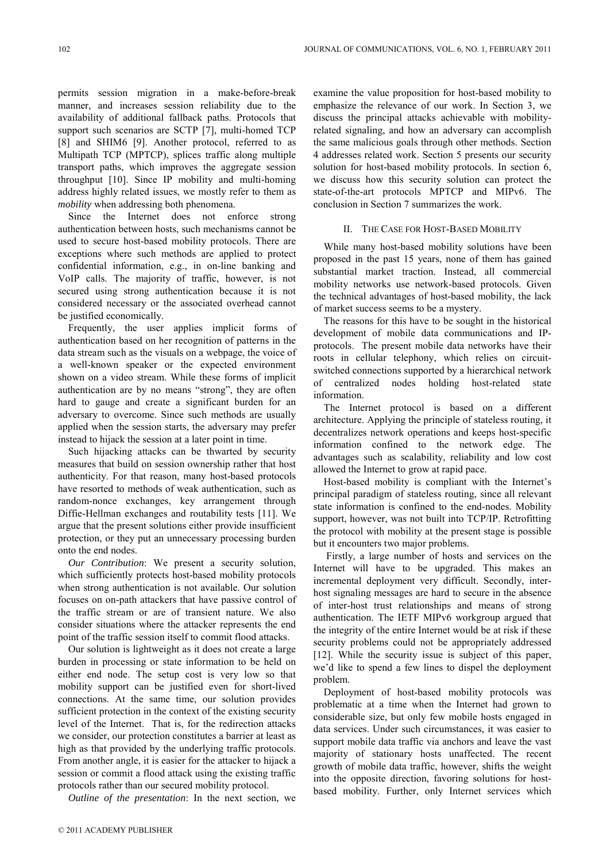permits session migration in a make-before-break manner, and increases session reliability due to the availability of additional fallback paths. Protocols that support such scenarios are SCTP [\[7\],](#page-13-6) multi-homed TCP [\[8\]](#page-13-7) and SHIM6 [\[9\].](#page-13-8) Another protocol, referred to as Multipath TCP (MPTCP), splices traffic along multiple transport paths, which improves the aggregate session throughput [\[10\].](#page-13-9) Since IP mobility and multi-homing address highly related issues, we mostly refer to them as *mobility* when addressing both phenomena.

Since the Internet does not enforce strong authentication between hosts, such mechanisms cannot be used to secure host-based mobility protocols. There are exceptions where such methods are applied to protect confidential information, e.g., in on-line banking and VoIP calls. The majority of traffic, however, is not secured using strong authentication because it is not considered necessary or the associated overhead cannot be justified economically.

Frequently, the user applies implicit forms of authentication based on her recognition of patterns in the data stream such as the visuals on a webpage, the voice of a well-known speaker or the expected environment shown on a video stream. While these forms of implicit authentication are by no means "strong", they are often hard to gauge and create a significant burden for an adversary to overcome. Since such methods are usually applied when the session starts, the adversary may prefer instead to hijack the session at a later point in time.

Such hijacking attacks can be thwarted by security measures that build on session ownership rather that host authenticity. For that reason, many host-based protocols have resorted to methods of weak authentication, such as random-nonce exchanges, key arrangement through Diffie-Hellman exchanges and routability tests [\[11\].](#page-13-10) We argue that the present solutions either provide insufficient protection, or they put an unnecessary processing burden onto the end nodes.

*Our Contribution*: We present a security solution, which sufficiently protects host-based mobility protocols when strong authentication is not available. Our solution focuses on on-path attackers that have passive control of the traffic stream or are of transient nature. We also consider situations where the attacker represents the end point of the traffic session itself to commit flood attacks.

Our solution is lightweight as it does not create a large burden in processing or state information to be held on either end node. The setup cost is very low so that mobility support can be justified even for short-lived connections. At the same time, our solution provides sufficient protection in the context of the existing security level of the Internet. That is, for the redirection attacks we consider, our protection constitutes a barrier at least as high as that provided by the underlying traffic protocols. From another angle, it is easier for the attacker to hijack a session or commit a flood attack using the existing traffic protocols rather than our secured mobility protocol.

*Outline of the presentation*: In the next section, we

examine the value proposition for host-based mobility to emphasize the relevance of our work. In Section 3, we discuss the principal attacks achievable with mobilityrelated signaling, and how an adversary can accomplish the same malicious goals through other methods. Section 4 addresses related work. Section 5 presents our security solution for host-based mobility protocols. In section 6, we discuss how this security solution can protect the state-of-the-art protocols MPTCP and MIPv6. The conclusion in Section 7 summarizes the work.

#### II. THE CASE FOR HOST-BASED MOBILITY

While many host-based mobility solutions have been proposed in the past 15 years, none of them has gained substantial market traction. Instead, all commercial mobility networks use network-based protocols. Given the technical advantages of host-based mobility, the lack of market success seems to be a mystery.

The reasons for this have to be sought in the historical development of mobile data communications and IPprotocols. The present mobile data networks have their roots in cellular telephony, which relies on circuitswitched connections supported by a hierarchical network of centralized nodes holding host-related state information.

The Internet protocol is based on a different architecture. Applying the principle of stateless routing, it decentralizes network operations and keeps host-specific information confined to the network edge. The advantages such as scalability, reliability and low cost allowed the Internet to grow at rapid pace.

Host-based mobility is compliant with the Internet's principal paradigm of stateless routing, since all relevant state information is confined to the end-nodes. Mobility support, however, was not built into TCP/IP. Retrofitting the protocol with mobility at the present stage is possible but it encounters two major problems.

Firstly, a large number of hosts and services on the Internet will have to be upgraded. This makes an incremental deployment very difficult. Secondly, interhost signaling messages are hard to secure in the absence of inter-host trust relationships and means of strong authentication. The IETF MIPv6 workgroup argued that the integrity of the entire Internet would be at risk if these security problems could not be appropriately addressed [\[12\].](#page-13-11) While the security issue is subject of this paper, we'd like to spend a few lines to dispel the deployment problem.

Deployment of host-based mobility protocols was problematic at a time when the Internet had grown to considerable size, but only few mobile hosts engaged in data services. Under such circumstances, it was easier to support mobile data traffic via anchors and leave the vast majority of stationary hosts unaffected. The recent growth of mobile data traffic, however, shifts the weight into the opposite direction, favoring solutions for hostbased mobility. Further, only Internet services which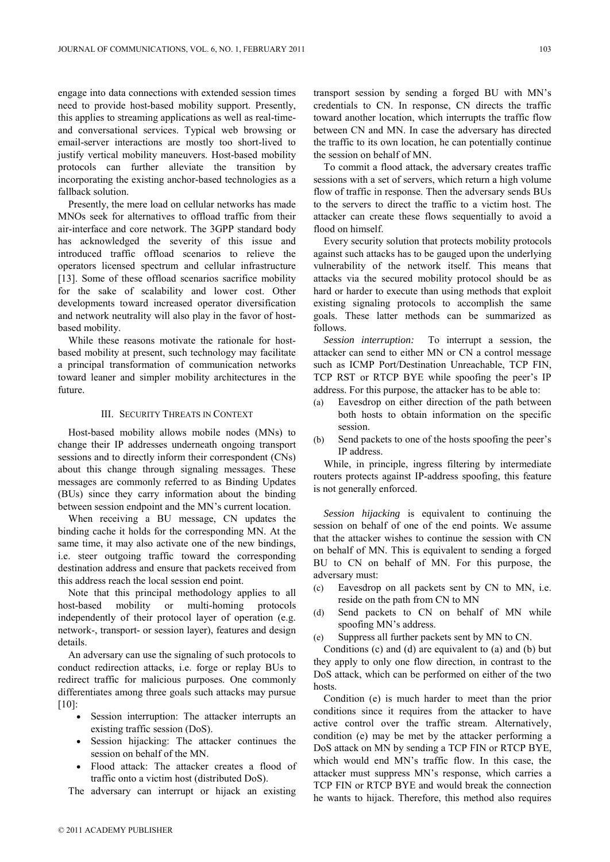engage into data connections with extended session times need to provide host-based mobility support. Presently, this applies to streaming applications as well as real-timeand conversational services. Typical web browsing or email-server interactions are mostly too short-lived to justify vertical mobility maneuvers. Host-based mobility protocols can further alleviate the transition by incorporating the existing anchor-based technologies as a fallback solution.

Presently, the mere load on cellular networks has made MNOs seek for alternatives to offload traffic from their air-interface and core network. The 3GPP standard body has acknowledged the severity of this issue and introduced traffic offload scenarios to relieve the operators licensed spectrum and cellular infrastructure [\[13\].](#page-13-12) Some of these offload scenarios sacrifice mobility for the sake of scalability and lower cost. Other developments toward increased operator diversification and network neutrality will also play in the favor of hostbased mobility.

While these reasons motivate the rationale for hostbased mobility at present, such technology may facilitate a principal transformation of communication networks toward leaner and simpler mobility architectures in the future.

## III. SECURITY THREATS IN CONTEXT

Host-based mobility allows mobile nodes (MNs) to change their IP addresses underneath ongoing transport sessions and to directly inform their correspondent (CNs) about this change through signaling messages. These messages are commonly referred to as Binding Updates (BUs) since they carry information about the binding between session endpoint and the MN's current location.

When receiving a BU message, CN updates the binding cache it holds for the corresponding MN. At the same time, it may also activate one of the new bindings, i.e. steer outgoing traffic toward the corresponding destination address and ensure that packets received from this address reach the local session end point.

Note that this principal methodology applies to all host-based mobility or multi-homing protocols independently of their protocol layer of operation (e.g. network-, transport- or session layer), features and design details.

An adversary can use the signaling of such protocols to conduct redirection attacks, i.e. forge or replay BUs to redirect traffic for malicious purposes. One commonly differentiates among three goals such attacks may pursue [10]:

- Session interruption: The attacker interrupts an existing traffic session (DoS).
- Session hijacking: The attacker continues the session on behalf of the MN.
- Flood attack: The attacker creates a flood of traffic onto a victim host (distributed DoS).

The adversary can interrupt or hijack an existing

transport session by sending a forged BU with MN's credentials to CN. In response, CN directs the traffic toward another location, which interrupts the traffic flow between CN and MN. In case the adversary has directed the traffic to its own location, he can potentially continue the session on behalf of MN.

To commit a flood attack, the adversary creates traffic sessions with a set of servers, which return a high volume flow of traffic in response. Then the adversary sends BUs to the servers to direct the traffic to a victim host. The attacker can create these flows sequentially to avoid a flood on himself.

Every security solution that protects mobility protocols against such attacks has to be gauged upon the underlying vulnerability of the network itself. This means that attacks via the secured mobility protocol should be as hard or harder to execute than using methods that exploit existing signaling protocols to accomplish the same goals. These latter methods can be summarized as follows.

*Session interruption:* To interrupt a session, the attacker can send to either MN or CN a control message such as ICMP Port/Destination Unreachable, TCP FIN, TCP RST or RTCP BYE while spoofing the peer's IP address. For this purpose, the attacker has to be able to:

- (a) Eavesdrop on either direction of the path between both hosts to obtain information on the specific session.
- (b) Send packets to one of the hosts spoofing the peer's IP address.

While, in principle, ingress filtering by intermediate routers protects against IP-address spoofing, this feature is not generally enforced.

*Session hijacking* is equivalent to continuing the session on behalf of one of the end points. We assume that the attacker wishes to continue the session with CN on behalf of MN. This is equivalent to sending a forged BU to CN on behalf of MN. For this purpose, the adversary must:

- (c) Eavesdrop on all packets sent by CN to MN, i.e. reside on the path from CN to MN
- (d) Send packets to CN on behalf of MN while spoofing MN's address.
- (e) Suppress all further packets sent by MN to CN.

Conditions (c) and (d) are equivalent to (a) and (b) but they apply to only one flow direction, in contrast to the DoS attack, which can be performed on either of the two hosts.

Condition (e) is much harder to meet than the prior conditions since it requires from the attacker to have active control over the traffic stream. Alternatively, condition (e) may be met by the attacker performing a DoS attack on MN by sending a TCP FIN or RTCP BYE, which would end MN's traffic flow. In this case, the attacker must suppress MN's response, which carries a TCP FIN or RTCP BYE and would break the connection he wants to hijack. Therefore, this method also requires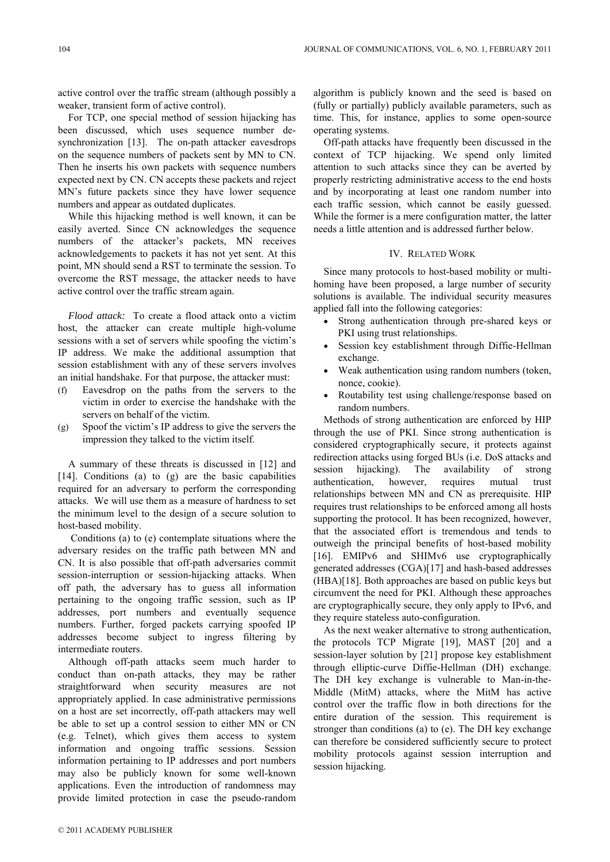active control over the traffic stream (although possibly a weaker, transient form of active control).

For TCP, one special method of session hijacking has been discussed, which uses sequence number de-synchronization [\[13\].](#page-13-12) The on-path attacker eavesdrops on the sequence numbers of packets sent by MN to CN. Then he inserts his own packets with sequence numbers expected next by CN. CN accepts these packets and reject MN's future packets since they have lower sequence numbers and appear as outdated duplicates.

While this hijacking method is well known, it can be easily averted. Since CN acknowledges the sequence numbers of the attacker's packets, MN receives acknowledgements to packets it has not yet sent. At this point, MN should send a RST to terminate the session. To overcome the RST message, the attacker needs to have active control over the traffic stream again.

*Flood attack:* To create a flood attack onto a victim host, the attacker can create multiple high-volume sessions with a set of servers while spoofing the victim's IP address. We make the additional assumption that session establishment with any of these servers involves an initial handshake. For that purpose, the attacker must:

- (f) Eavesdrop on the paths from the servers to the victim in order to exercise the handshake with the servers on behalf of the victim.
- (g) Spoof the victim's IP address to give the servers the impression they talked to the victim itself.

A summary of these threats is discussed in [\[12\]](#page-13-11) and [\[14\].](#page-13-13) Conditions (a) to (g) are the basic capabilities required for an adversary to perform the corresponding attacks. We will use them as a measure of hardness to set the minimum level to the design of a secure solution to host-based mobility.

Conditions (a) to (e) contemplate situations where the adversary resides on the traffic path between MN and CN. It is also possible that off-path adversaries commit session-interruption or session-hijacking attacks. When off path, the adversary has to guess all information pertaining to the ongoing traffic session, such as IP addresses, port numbers and eventually sequence numbers. Further, forged packets carrying spoofed IP addresses become subject to ingress filtering by intermediate routers.

Although off-path attacks seem much harder to conduct than on-path attacks, they may be rather straightforward when security measures are not appropriately applied. In case administrative permissions on a host are set incorrectly, off-path attackers may well be able to set up a control session to either MN or CN (e.g. Telnet), which gives them access to system information and ongoing traffic sessions. Session information pertaining to IP addresses and port numbers may also be publicly known for some well-known applications. Even the introduction of randomness may provide limited protection in case the pseudo-random

algorithm is publicly known and the seed is based on (fully or partially) publicly available parameters, such as time. This, for instance, applies to some open-source operating systems.

Off-path attacks have frequently been discussed in the context of TCP hijacking. We spend only limited attention to such attacks since they can be averted by properly restricting administrative access to the end hosts and by incorporating at least one random number into each traffic session, which cannot be easily guessed. While the former is a mere configuration matter, the latter needs a little attention and is addressed further below.

# IV. RELATED WORK

Since many protocols to host-based mobility or multihoming have been proposed, a large number of security solutions is available. The individual security measures applied fall into the following categories:

- Strong authentication through pre-shared keys or PKI using trust relationships.
- Session key establishment through Diffie-Hellman exchange.
- Weak authentication using random numbers (token, nonce, cookie).
- Routability test using challenge/response based on random numbers.

Methods of strong authentication are enforced by HIP through the use of PKI. Since strong authentication is considered cryptographically secure, it protects against redirection attacks using forged BUs (i.e. DoS attacks and session hijacking). The availability of strong authentication, however, requires mutual trust relationships between MN and CN as prerequisite. HIP requires trust relationships to be enforced among all hosts supporting the protocol. It has been recognized, however, that the associated effort is tremendous and tends to outweigh the principal benefits of host-based mobility [\[16\].](#page-13-14) EMIPv6 and SHIMv6 use cryptographically generated addresses (CGA[\)\[17\]](#page-13-15) and hash-based addresses (HBA[\)\[18\].](#page-13-16) Both approaches are based on public keys but circumvent the need for PKI. Although these approaches are cryptographically secure, they only apply to IPv6, and they require stateless auto-configuration.

As the next weaker alternative to strong authentication, the protocols TCP Migrate [\[19\],](#page-13-17) MAST [\[20\]](#page-13-18) and a session-layer solution by [\[21\]](#page-13-19) propose key establishment through elliptic-curve Diffie-Hellman (DH) exchange. The DH key exchange is vulnerable to Man-in-the-Middle (MitM) attacks, where the MitM has active control over the traffic flow in both directions for the entire duration of the session. This requirement is stronger than conditions (a) to (e). The DH key exchange can therefore be considered sufficiently secure to protect mobility protocols against session interruption and session hijacking.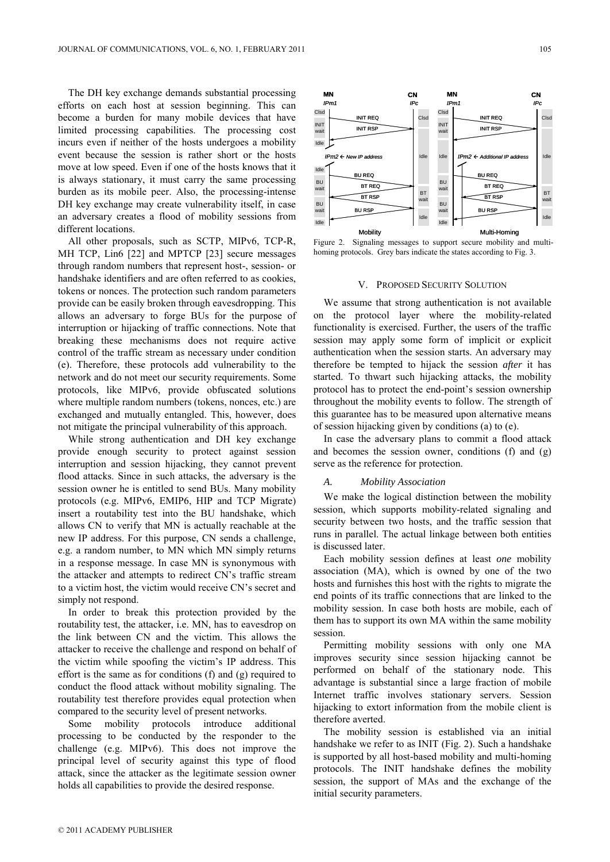The DH key exchange demands substantial processing efforts on each host at session beginning. This can become a burden for many mobile devices that have limited processing capabilities. The processing cost incurs even if neither of the hosts undergoes a mobility event because the session is rather short or the hosts move at low speed. Even if one of the hosts knows that it is always stationary, it must carry the same processing burden as its mobile peer. Also, the processing-intense DH key exchange may create vulnerability itself, in case an adversary creates a flood of mobility sessions from different locations.

All other proposals, such as SCTP, MIPv6, TCP-R, MH TCP, Lin6 [\[22\]](#page-13-20) and MPTCP [\[23\]](#page-13-21) secure messages through random numbers that represent host-, session- or handshake identifiers and are often referred to as cookies, tokens or nonces. The protection such random parameters provide can be easily broken through eavesdropping. This allows an adversary to forge BUs for the purpose of interruption or hijacking of traffic connections. Note that breaking these mechanisms does not require active control of the traffic stream as necessary under condition (e). Therefore, these protocols add vulnerability to the network and do not meet our security requirements. Some protocols, like MIPv6, provide obfuscated solutions where multiple random numbers (tokens, nonces, etc.) are exchanged and mutually entangled. This, however, does not mitigate the principal vulnerability of this approach.

While strong authentication and DH key exchange provide enough security to protect against session interruption and session hijacking, they cannot prevent flood attacks. Since in such attacks, the adversary is the session owner he is entitled to send BUs. Many mobility protocols (e.g. MIPv6, EMIP6, HIP and TCP Migrate) insert a routability test into the BU handshake, which allows CN to verify that MN is actually reachable at the new IP address. For this purpose, CN sends a challenge, e.g. a random number, to MN which MN simply returns in a response message. In case MN is synonymous with the attacker and attempts to redirect CN's traffic stream to a victim host, the victim would receive CN's secret and simply not respond.

In order to break this protection provided by the routability test, the attacker, i.e. MN, has to eavesdrop on the link between CN and the victim. This allows the attacker to receive the challenge and respond on behalf of the victim while spoofing the victim's IP address. This effort is the same as for conditions (f) and (g) required to conduct the flood attack without mobility signaling. The routability test therefore provides equal protection when compared to the security level of present networks.

Some mobility protocols introduce additional processing to be conducted by the responder to the challenge (e.g. MIPv6). This does not improve the principal level of security against this type of flood attack, since the attacker as the legitimate session owner holds all capabilities to provide the desired response.



Figure 2. Signaling messages to support secure mobility and multihoming protocols. Grey bars indicate the states according to Fig. 3.

#### V. PROPOSED SECURITY SOLUTION

We assume that strong authentication is not available on the protocol layer where the mobility-related functionality is exercised. Further, the users of the traffic session may apply some form of implicit or explicit authentication when the session starts. An adversary may therefore be tempted to hijack the session *after* it has started. To thwart such hijacking attacks, the mobility protocol has to protect the end-point's session ownership throughout the mobility events to follow. The strength of this guarantee has to be measured upon alternative means of session hijacking given by conditions (a) to (e).

In case the adversary plans to commit a flood attack and becomes the session owner, conditions (f) and (g) serve as the reference for protection.

#### *A. Mobility Association*

We make the logical distinction between the mobility session, which supports mobility-related signaling and security between two hosts, and the traffic session that runs in parallel. The actual linkage between both entities is discussed later.

Each mobility session defines at least *one* mobility association (MA), which is owned by one of the two hosts and furnishes this host with the rights to migrate the end points of its traffic connections that are linked to the mobility session. In case both hosts are mobile, each of them has to support its own MA within the same mobility session.

Permitting mobility sessions with only one MA improves security since session hijacking cannot be performed on behalf of the stationary node. This advantage is substantial since a large fraction of mobile Internet traffic involves stationary servers. Session hijacking to extort information from the mobile client is therefore averted.

The mobility session is established via an initial handshake we refer to as INIT (Fig. 2). Such a handshake is supported by all host-based mobility and multi-homing protocols. The INIT handshake defines the mobility session, the support of MAs and the exchange of the initial security parameters.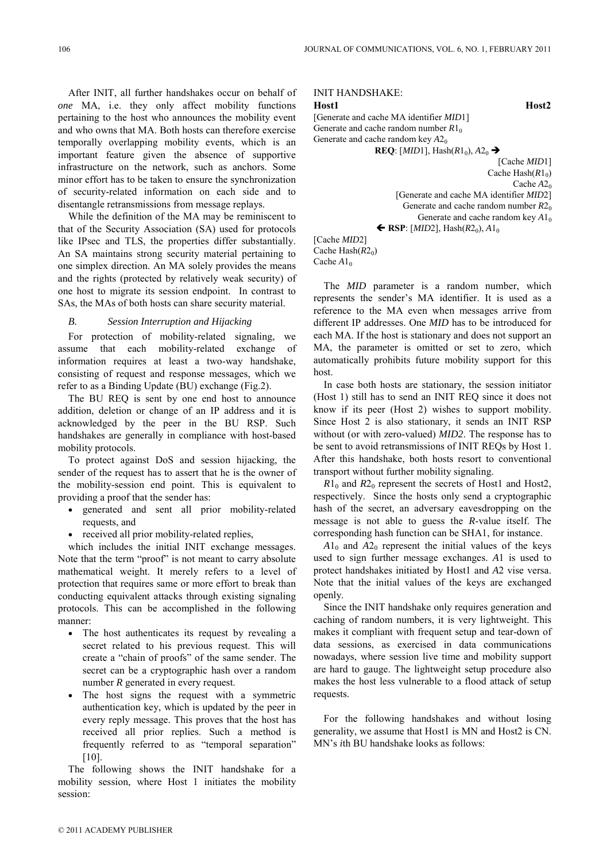After INIT, all further handshakes occur on behalf of *one* MA, i.e. they only affect mobility functions pertaining to the host who announces the mobility event and who owns that MA. Both hosts can therefore exercise temporally overlapping mobility events, which is an important feature given the absence of supportive infrastructure on the network, such as anchors. Some minor effort has to be taken to ensure the synchronization of security-related information on each side and to disentangle retransmissions from message replays.

While the definition of the MA may be reminiscent to that of the Security Association (SA) used for protocols like IPsec and TLS, the properties differ substantially. An SA maintains strong security material pertaining to one simplex direction. An MA solely provides the means and the rights (protected by relatively weak security) of one host to migrate its session endpoint. In contrast to SAs, the MAs of both hosts can share security material.

## *B. Session Interruption and Hijacking*

For protection of mobility-related signaling, we assume that each mobility-related exchange of information requires at least a two-way handshake, consisting of request and response messages, which we refer to as a Binding Update (BU) exchange (Fig.2).

The BU REQ is sent by one end host to announce addition, deletion or change of an IP address and it is acknowledged by the peer in the BU RSP. Such handshakes are generally in compliance with host-based mobility protocols.

To protect against DoS and session hijacking, the sender of the request has to assert that he is the owner of the mobility-session end point. This is equivalent to providing a proof that the sender has:

- generated and sent all prior mobility-related requests, and
- received all prior mobility-related replies,

which includes the initial INIT exchange messages. Note that the term "proof" is not meant to carry absolute mathematical weight. It merely refers to a level of protection that requires same or more effort to break than conducting equivalent attacks through existing signaling protocols. This can be accomplished in the following manner:

- The host authenticates its request by revealing a secret related to his previous request. This will create a "chain of proofs" of the same sender. The secret can be a cryptographic hash over a random number *R* generated in every request.
- The host signs the request with a symmetric authentication key, which is updated by the peer in every reply message. This proves that the host has received all prior replies. Such a method is frequently referred to as "temporal separation"  $[10]$ .

The following shows the INIT handshake for a mobility session, where Host 1 initiates the mobility session:

INIT HANDSHAKE: **Host1 Host2** [Generate and cache MA identifier *MID*1] Generate and cache random number  $R1_0$ Generate and cache random key  $A2_0$ **REQ**: [*MID*1], Hash( $R1_0$ ),  $A2_0$  → [Cache *MID*1] Cache Hash $(R1_0)$ Cache  $A2_0$ [Generate and cache MA identifier *MID*2] Generate and cache random number  $R2_0$ Generate and cache random key  $A1_0$ 

 $\bigstar$  **RSP**: [*MID*2], Hash(*R*2<sub>0</sub>), *A*1<sub>0</sub> [Cache *MID*2] Cache Hash( $R2_0$ ) Cache  $A1_0$ 

The *MID* parameter is a random number, which represents the sender's MA identifier. It is used as a reference to the MA even when messages arrive from different IP addresses. One *MID* has to be introduced for each MA. If the host is stationary and does not support an MA, the parameter is omitted or set to zero, which automatically prohibits future mobility support for this host.

In case both hosts are stationary, the session initiator (Host 1) still has to send an INIT REQ since it does not know if its peer (Host 2) wishes to support mobility. Since Host 2 is also stationary, it sends an INIT RSP without (or with zero-valued) *MID2*. The response has to be sent to avoid retransmissions of INIT REQs by Host 1. After this handshake, both hosts resort to conventional transport without further mobility signaling.

 $R1_0$  and  $R2_0$  represent the secrets of Host1 and Host2, respectively. Since the hosts only send a cryptographic hash of the secret, an adversary eavesdropping on the message is not able to guess the *R*-value itself. The corresponding hash function can be SHA1, for instance.

 $A1_0$  and  $A2_0$  represent the initial values of the keys used to sign further message exchanges. *A*1 is used to protect handshakes initiated by Host1 and *A*2 vise versa. Note that the initial values of the keys are exchanged openly.

Since the INIT handshake only requires generation and caching of random numbers, it is very lightweight. This makes it compliant with frequent setup and tear-down of data sessions, as exercised in data communications nowadays, where session live time and mobility support are hard to gauge. The lightweight setup procedure also makes the host less vulnerable to a flood attack of setup requests.

For the following handshakes and without losing generality, we assume that Host1 is MN and Host2 is CN. MN's *i*th BU handshake looks as follows: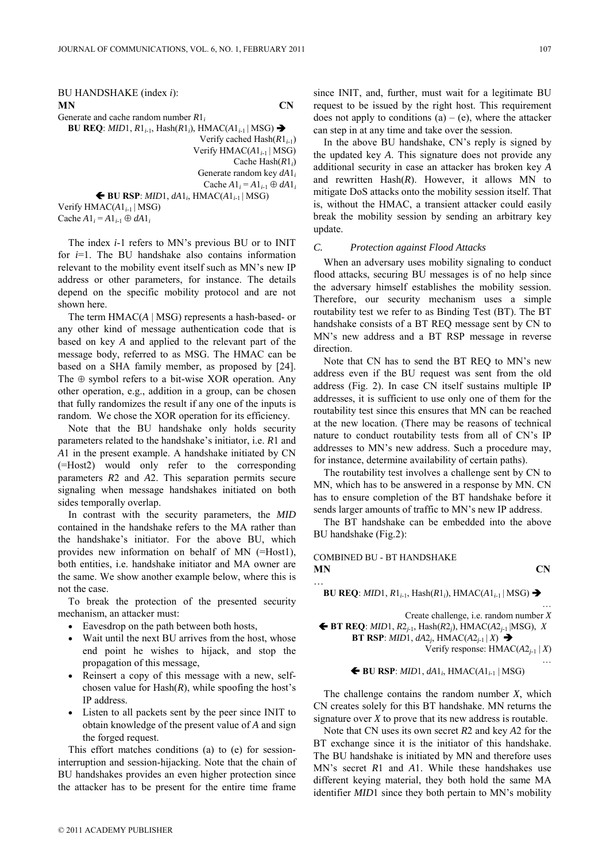| BU HANDSHAKE (index i):                                                                          |
|--------------------------------------------------------------------------------------------------|
| MN<br>CN                                                                                         |
| Generate and cache random number $R1_i$                                                          |
| <b>BU REQ</b> : <i>MID</i> 1, $R1_{i-1}$ , Hash( $R1_i$ ), HMAC( $A1_{i-1}$   MSG) $\rightarrow$ |
| Verify cached $Hash(R1_{i-1})$                                                                   |
| Verify $HMAC(A1_{i-1}   MSG)$                                                                    |
| Cache Hash $(R1)$                                                                                |
| Generate random key $dA1_i$                                                                      |
| Cache $A1_i = A1_{i-1} \oplus dA1_i$                                                             |
| $\bigoplus$ BU RSP: <i>MID</i> 1, <i>dA</i> 1; HMAC( <i>A</i> 1; 1 MSG)                          |
| Verify HMAC( $A1_{i-1}$   MSG)                                                                   |

Cache  $A1_i = A1_{i-1} \oplus dA1_i$ 

The index *i-*1 refers to MN's previous BU or to INIT for *i*=1. The BU handshake also contains information relevant to the mobility event itself such as MN's new IP address or other parameters, for instance. The details depend on the specific mobility protocol and are not shown here.

The term HMAC(*A* | MSG) represents a hash-based- or any other kind of message authentication code that is based on key *A* and applied to the relevant part of the message body, referred to as MSG. The HMAC can be based on a SHA family member, as proposed by [\[24\].](#page-13-22) The ⊕ symbol refers to a bit-wise XOR operation. Any other operation, e.g., addition in a group, can be chosen that fully randomizes the result if any one of the inputs is random. We chose the XOR operation for its efficiency.

Note that the BU handshake only holds security parameters related to the handshake's initiator, i.e. *R*1 and *A*1 in the present example. A handshake initiated by CN (=Host2) would only refer to the corresponding parameters *R*2 and *A*2. This separation permits secure signaling when message handshakes initiated on both sides temporally overlap.

In contrast with the security parameters, the *MID* contained in the handshake refers to the MA rather than the handshake's initiator. For the above BU, which provides new information on behalf of MN (=Host1), both entities, i.e. handshake initiator and MA owner are the same. We show another example below, where this is not the case.

To break the protection of the presented security mechanism, an attacker must:

- Eavesdrop on the path between both hosts,
- Wait until the next BU arrives from the host, whose end point he wishes to hijack, and stop the propagation of this message,
- Reinsert a copy of this message with a new, selfchosen value for  $Hash(R)$ , while spoofing the host's IP address.
- Listen to all packets sent by the peer since INIT to obtain knowledge of the present value of *A* and sign the forged request.

This effort matches conditions (a) to (e) for sessioninterruption and session-hijacking. Note that the chain of BU handshakes provides an even higher protection since the attacker has to be present for the entire time frame

In the above BU handshake, CN's reply is signed by the updated key *A*. This signature does not provide any additional security in case an attacker has broken key *A* and rewritten  $Hash(R)$ . However, it allows MN to mitigate DoS attacks onto the mobility session itself. That is, without the HMAC, a transient attacker could easily break the mobility session by sending an arbitrary key update.

## *C. Protection against Flood Attacks*

When an adversary uses mobility signaling to conduct flood attacks, securing BU messages is of no help since the adversary himself establishes the mobility session. Therefore, our security mechanism uses a simple routability test we refer to as Binding Test (BT). The BT handshake consists of a BT REQ message sent by CN to MN's new address and a BT RSP message in reverse direction.

Note that CN has to send the BT REQ to MN's new address even if the BU request was sent from the old address (Fig. 2). In case CN itself sustains multiple IP addresses, it is sufficient to use only one of them for the routability test since this ensures that MN can be reached at the new location. (There may be reasons of technical nature to conduct routability tests from all of CN's IP addresses to MN's new address. Such a procedure may, for instance, determine availability of certain paths).

The routability test involves a challenge sent by CN to MN, which has to be answered in a response by MN. CN has to ensure completion of the BT handshake before it sends larger amounts of traffic to MN's new IP address.

The BT handshake can be embedded into the above BU handshake (Fig.2):

COMBINED BU - BT HANDSHAKE

**MN** CN

…

**BU REQ**: *MID*1,  $R1_{i-1}$ , Hash( $R1_i$ ), HMAC( $A1_{i-1}$ | MSG)  $\rightarrow$ 

… Create challenge, i.e. random number *X* **BT REQ**: *MID*1, *R*2*j*-1, Hash(*R*2*j*), HMAC(*A*2*j-*<sup>1</sup> |MSG), *X* **BT RSP**:  $MID1$ ,  $dA2$ <sup>*j*</sup>, HMAC( $A2$ <sub>*j*-1</sub> | *X*)  $\rightarrow$ Verify response: HMAC(*A*2*<sup>j</sup>*-1 | *X*) …

#### $\blacktriangle$  **BU RSP**: *MID*1, *dA*1*<sub>i</sub>*, HMAC(*A*1<sub>*i*-1</sub> | MSG)

The challenge contains the random number *X*, which CN creates solely for this BT handshake. MN returns the signature over *X* to prove that its new address is routable.

Note that CN uses its own secret *R*2 and key *A*2 for the BT exchange since it is the initiator of this handshake. The BU handshake is initiated by MN and therefore uses MN's secret *R*1 and *A*1. While these handshakes use different keying material, they both hold the same MA identifier *MID*1 since they both pertain to MN's mobility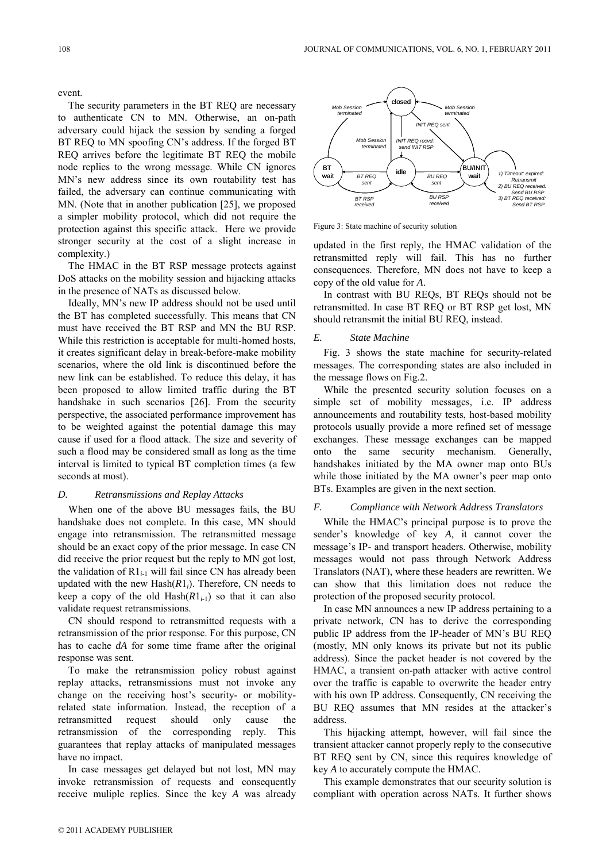event.

The security parameters in the BT REQ are necessary to authenticate CN to MN. Otherwise, an on-path adversary could hijack the session by sending a forged BT REQ to MN spoofing CN's address. If the forged BT REQ arrives before the legitimate BT REQ the mobile node replies to the wrong message. While CN ignores MN's new address since its own routability test has failed, the adversary can continue communicating with MN. (Note that in another publication [\[25\],](#page-13-23) we proposed a simpler mobility protocol, which did not require the protection against this specific attack. Here we provide stronger security at the cost of a slight increase in complexity.)

The HMAC in the BT RSP message protects against DoS attacks on the mobility session and hijacking attacks in the presence of NATs as discussed below.

Ideally, MN's new IP address should not be used until the BT has completed successfully. This means that CN must have received the BT RSP and MN the BU RSP. While this restriction is acceptable for multi-homed hosts, it creates significant delay in break-before-make mobility scenarios, where the old link is discontinued before the new link can be established. To reduce this delay, it has been proposed to allow limited traffic during the BT handshake in such scenarios [\[26\].](#page-13-24) From the security perspective, the associated performance improvement has to be weighted against the potential damage this may cause if used for a flood attack. The size and severity of such a flood may be considered small as long as the time interval is limited to typical BT completion times (a few seconds at most).

#### *D. Retransmissions and Replay Attacks*

When one of the above BU messages fails, the BU handshake does not complete. In this case, MN should engage into retransmission. The retransmitted message should be an exact copy of the prior message. In case CN did receive the prior request but the reply to MN got lost, the validation of  $R1_{i-1}$  will fail since CN has already been updated with the new Hash(*R*1*i*). Therefore, CN needs to keep a copy of the old  $Hash(R1_{i-1})$  so that it can also validate request retransmissions.

CN should respond to retransmitted requests with a retransmission of the prior response. For this purpose, CN has to cache *dA* for some time frame after the original response was sent.

To make the retransmission policy robust against replay attacks, retransmissions must not invoke any change on the receiving host's security- or mobilityrelated state information. Instead, the reception of a retransmitted request should only cause the retransmission of the corresponding reply. This guarantees that replay attacks of manipulated messages have no impact.

In case messages get delayed but not lost, MN may invoke retransmission of requests and consequently receive muliple replies. Since the key *A* was already



Figure 3: State machine of security solution

updated in the first reply, the HMAC validation of the retransmitted reply will fail. This has no further consequences. Therefore, MN does not have to keep a copy of the old value for *A*.

In contrast with BU REQs, BT REQs should not be retransmitted. In case BT REQ or BT RSP get lost, MN should retransmit the initial BU REQ, instead.

#### *E. State Machine*

Fig. 3 shows the state machine for security-related messages. The corresponding states are also included in the message flows on Fig.2.

While the presented security solution focuses on a simple set of mobility messages, i.e. IP address announcements and routability tests, host-based mobility protocols usually provide a more refined set of message exchanges. These message exchanges can be mapped onto the same security mechanism. Generally, handshakes initiated by the MA owner map onto BUs while those initiated by the MA owner's peer map onto BTs. Examples are given in the next section.

## *F. Compliance with Network Address Translators*

While the HMAC's principal purpose is to prove the sender's knowledge of key *A*, it cannot cover the message's IP- and transport headers. Otherwise, mobility messages would not pass through Network Address Translators (NAT), where these headers are rewritten. We can show that this limitation does not reduce the protection of the proposed security protocol.

In case MN announces a new IP address pertaining to a private network, CN has to derive the corresponding public IP address from the IP-header of MN's BU REQ (mostly, MN only knows its private but not its public address). Since the packet header is not covered by the HMAC, a transient on-path attacker with active control over the traffic is capable to overwrite the header entry with his own IP address. Consequently, CN receiving the BU REQ assumes that MN resides at the attacker's address.

This hijacking attempt, however, will fail since the transient attacker cannot properly reply to the consecutive BT REQ sent by CN, since this requires knowledge of key *A* to accurately compute the HMAC.

This example demonstrates that our security solution is compliant with operation across NATs. It further shows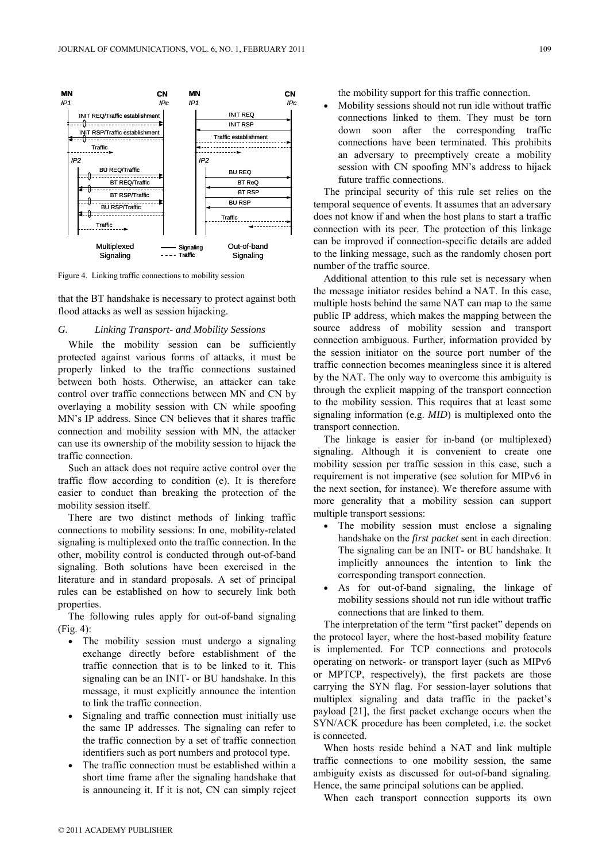

Figure 4. Linking traffic connections to mobility session

that the BT handshake is necessary to protect against both flood attacks as well as session hijacking.

## *G. Linking Transport- and Mobility Sessions*

While the mobility session can be sufficiently protected against various forms of attacks, it must be properly linked to the traffic connections sustained between both hosts. Otherwise, an attacker can take control over traffic connections between MN and CN by overlaying a mobility session with CN while spoofing MN's IP address. Since CN believes that it shares traffic connection and mobility session with MN, the attacker can use its ownership of the mobility session to hijack the traffic connection.

Such an attack does not require active control over the traffic flow according to condition (e). It is therefore easier to conduct than breaking the protection of the mobility session itself.

There are two distinct methods of linking traffic connections to mobility sessions: In one, mobility-related signaling is multiplexed onto the traffic connection. In the other, mobility control is conducted through out-of-band signaling. Both solutions have been exercised in the literature and in standard proposals. A set of principal rules can be established on how to securely link both properties.

The following rules apply for out-of-band signaling (Fig. 4):

- The mobility session must undergo a signaling exchange directly before establishment of the traffic connection that is to be linked to it. This signaling can be an INIT- or BU handshake. In this message, it must explicitly announce the intention to link the traffic connection.
- Signaling and traffic connection must initially use the same IP addresses. The signaling can refer to the traffic connection by a set of traffic connection identifiers such as port numbers and protocol type.
- The traffic connection must be established within a short time frame after the signaling handshake that is announcing it. If it is not, CN can simply reject

the mobility support for this traffic connection.

• Mobility sessions should not run idle without traffic connections linked to them. They must be torn down soon after the corresponding traffic connections have been terminated. This prohibits an adversary to preemptively create a mobility session with CN spoofing MN's address to hijack future traffic connections.

The principal security of this rule set relies on the temporal sequence of events. It assumes that an adversary does not know if and when the host plans to start a traffic connection with its peer. The protection of this linkage can be improved if connection-specific details are added to the linking message, such as the randomly chosen port number of the traffic source.

Additional attention to this rule set is necessary when the message initiator resides behind a NAT. In this case, multiple hosts behind the same NAT can map to the same public IP address, which makes the mapping between the source address of mobility session and transport connection ambiguous. Further, information provided by the session initiator on the source port number of the traffic connection becomes meaningless since it is altered by the NAT. The only way to overcome this ambiguity is through the explicit mapping of the transport connection to the mobility session. This requires that at least some signaling information (e.g. *MID*) is multiplexed onto the transport connection.

The linkage is easier for in-band (or multiplexed) signaling. Although it is convenient to create one mobility session per traffic session in this case, such a requirement is not imperative (see solution for MIPv6 in the next section, for instance). We therefore assume with more generality that a mobility session can support multiple transport sessions:

- The mobility session must enclose a signaling handshake on the *first packet* sent in each direction. The signaling can be an INIT- or BU handshake. It implicitly announces the intention to link the corresponding transport connection.
- As for out-of-band signaling, the linkage of mobility sessions should not run idle without traffic connections that are linked to them.

The interpretation of the term "first packet" depends on the protocol layer, where the host-based mobility feature is implemented. For TCP connections and protocols operating on network- or transport layer (such as MIPv6 or MPTCP, respectively), the first packets are those carrying the SYN flag. For session-layer solutions that multiplex signaling and data traffic in the packet's payload [\[21\],](#page-13-19) the first packet exchange occurs when the SYN/ACK procedure has been completed, i.e. the socket is connected.

When hosts reside behind a NAT and link multiple traffic connections to one mobility session, the same ambiguity exists as discussed for out-of-band signaling. Hence, the same principal solutions can be applied.

When each transport connection supports its own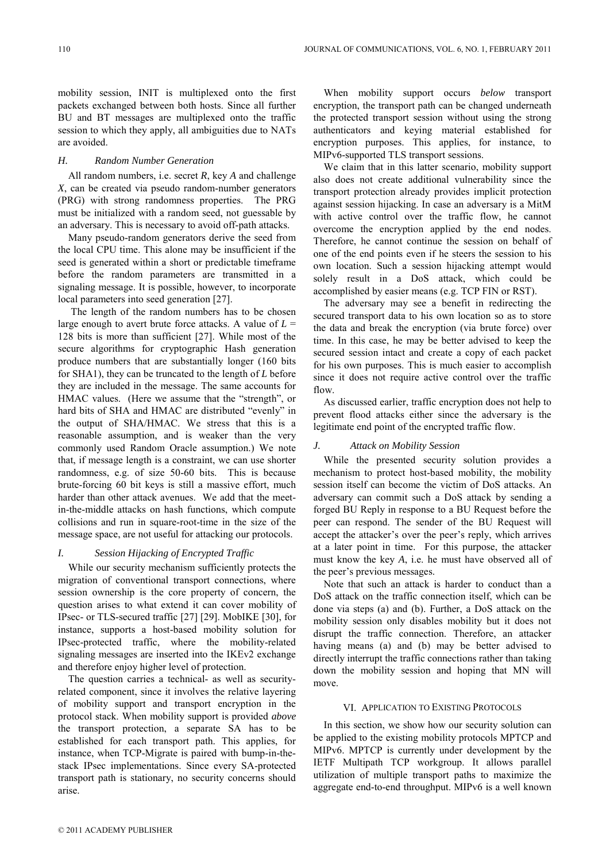mobility session, INIT is multiplexed onto the first packets exchanged between both hosts. Since all further BU and BT messages are multiplexed onto the traffic session to which they apply, all ambiguities due to NATs are avoided.

## *H. Random Number Generation*

All random numbers, i.e. secret *R*, key *A* and challenge *X*, can be created via pseudo random-number generators (PRG) with strong randomness properties. The PRG must be initialized with a random seed, not guessable by an adversary. This is necessary to avoid off-path attacks.

Many pseudo-random generators derive the seed from the local CPU time. This alone may be insufficient if the seed is generated within a short or predictable timeframe before the random parameters are transmitted in a signaling message. It is possible, however, to incorporate local parameters into seed generation [\[27\].](#page-13-25)

The length of the random numbers has to be chosen large enough to avert brute force attacks. A value of  $L =$ 128 bits is more than sufficient [\[27\].](#page-13-25) While most of the secure algorithms for cryptographic Hash generation produce numbers that are substantially longer (160 bits for SHA1), they can be truncated to the length of *L* before they are included in the message. The same accounts for HMAC values. (Here we assume that the "strength", or hard bits of SHA and HMAC are distributed "evenly" in the output of SHA/HMAC. We stress that this is a reasonable assumption, and is weaker than the very commonly used Random Oracle assumption.) We note that, if message length is a constraint, we can use shorter randomness, e.g. of size 50-60 bits. This is because brute-forcing 60 bit keys is still a massive effort, much harder than other attack avenues. We add that the meetin-the-middle attacks on hash functions, which compute collisions and run in square-root-time in the size of the message space, are not useful for attacking our protocols.

# *I. Session Hijacking of Encrypted Traffic*

While our security mechanism sufficiently protects the migration of conventional transport connections, where session ownership is the core property of concern, the question arises to what extend it can cover mobility of IPsec- or TLS-secured traffic [\[27\]](#page-13-25) [\[29\].](#page-13-26) MobIKE [\[30\],](#page-13-27) for instance, supports a host-based mobility solution for IPsec-protected traffic, where the mobility-related signaling messages are inserted into the IKEv2 exchange and therefore enjoy higher level of protection.

The question carries a technical- as well as securityrelated component, since it involves the relative layering of mobility support and transport encryption in the protocol stack. When mobility support is provided *above* the transport protection, a separate SA has to be established for each transport path. This applies, for instance, when TCP-Migrate is paired with bump-in-thestack IPsec implementations. Since every SA-protected transport path is stationary, no security concerns should arise.

When mobility support occurs *below* transport encryption, the transport path can be changed underneath the protected transport session without using the strong authenticators and keying material established for encryption purposes. This applies, for instance, to MIPv6-supported TLS transport sessions.

We claim that in this latter scenario, mobility support also does not create additional vulnerability since the transport protection already provides implicit protection against session hijacking. In case an adversary is a MitM with active control over the traffic flow, he cannot overcome the encryption applied by the end nodes. Therefore, he cannot continue the session on behalf of one of the end points even if he steers the session to his own location. Such a session hijacking attempt would solely result in a DoS attack, which could be accomplished by easier means (e.g. TCP FIN or RST).

The adversary may see a benefit in redirecting the secured transport data to his own location so as to store the data and break the encryption (via brute force) over time. In this case, he may be better advised to keep the secured session intact and create a copy of each packet for his own purposes. This is much easier to accomplish since it does not require active control over the traffic flow.

As discussed earlier, traffic encryption does not help to prevent flood attacks either since the adversary is the legitimate end point of the encrypted traffic flow.

## *J. Attack on Mobility Session*

While the presented security solution provides a mechanism to protect host-based mobility, the mobility session itself can become the victim of DoS attacks. An adversary can commit such a DoS attack by sending a forged BU Reply in response to a BU Request before the peer can respond. The sender of the BU Request will accept the attacker's over the peer's reply, which arrives at a later point in time. For this purpose, the attacker must know the key *A*, i.e. he must have observed all of the peer's previous messages.

Note that such an attack is harder to conduct than a DoS attack on the traffic connection itself, which can be done via steps (a) and (b). Further, a DoS attack on the mobility session only disables mobility but it does not disrupt the traffic connection. Therefore, an attacker having means (a) and (b) may be better advised to directly interrupt the traffic connections rather than taking down the mobility session and hoping that MN will move.

## VI. APPLICATION TO EXISTING PROTOCOLS

In this section, we show how our security solution can be applied to the existing mobility protocols MPTCP and MIPv6. MPTCP is currently under development by the IETF Multipath TCP workgroup. It allows parallel utilization of multiple transport paths to maximize the aggregate end-to-end throughput. MIPv6 is a well known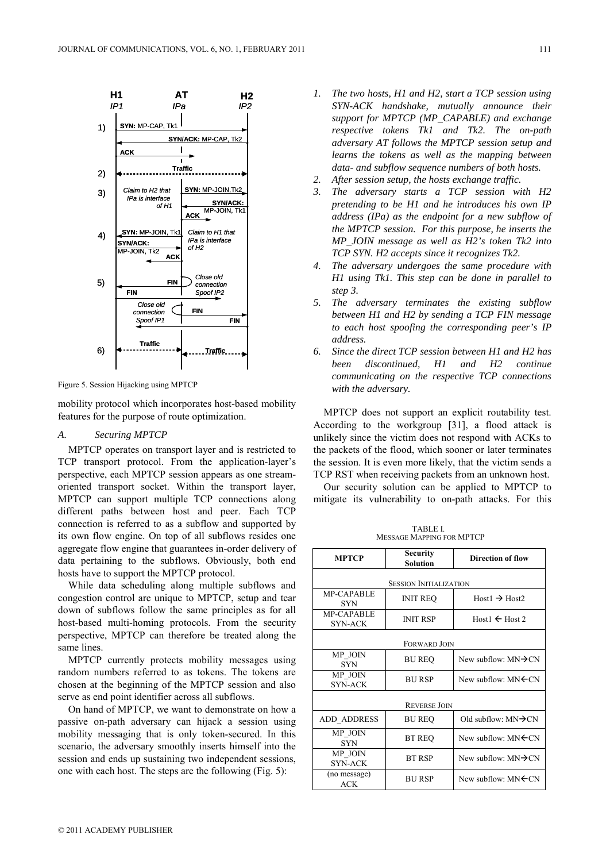

Figure 5. Session Hijacking using MPTCP

mobility protocol which incorporates host-based mobility features for the purpose of route optimization.

# *A. Securing MPTCP*

MPTCP operates on transport layer and is restricted to TCP transport protocol. From the application-layer's perspective, each MPTCP session appears as one streamoriented transport socket. Within the transport layer, MPTCP can support multiple TCP connections along different paths between host and peer. Each TCP connection is referred to as a subflow and supported by its own flow engine. On top of all subflows resides one aggregate flow engine that guarantees in-order delivery of data pertaining to the subflows. Obviously, both end hosts have to support the MPTCP protocol.

While data scheduling along multiple subflows and congestion control are unique to MPTCP, setup and tear down of subflows follow the same principles as for all host-based multi-homing protocols. From the security perspective, MPTCP can therefore be treated along the same lines.

MPTCP currently protects mobility messages using random numbers referred to as tokens. The tokens are chosen at the beginning of the MPTCP session and also serve as end point identifier across all subflows.

On hand of MPTCP, we want to demonstrate on how a passive on-path adversary can hijack a session using mobility messaging that is only token-secured. In this scenario, the adversary smoothly inserts himself into the session and ends up sustaining two independent sessions, one with each host. The steps are the following (Fig. 5):

- *1. The two hosts, H1 and H2, start a TCP session using SYN-ACK handshake, mutually announce their support for MPTCP (MP\_CAPABLE) and exchange respective tokens Tk1 and Tk2. The on-path adversary AT follows the MPTCP session setup and learns the tokens as well as the mapping between data- and subflow sequence numbers of both hosts.*
- *2. After session setup, the hosts exchange traffic.*
- *3. The adversary starts a TCP session with H2 pretending to be H1 and he introduces his own IP address (IPa) as the endpoint for a new subflow of the MPTCP session. For this purpose, he inserts the MP\_JOIN message as well as H2's token Tk2 into TCP SYN. H2 accepts since it recognizes Tk2.*
- *4. The adversary undergoes the same procedure with H1 using Tk1. This step can be done in parallel to step 3.*
- *5. The adversary terminates the existing subflow between H1 and H2 by sending a TCP FIN message to each host spoofing the corresponding peer's IP address.*
- *6. Since the direct TCP session between H1 and H2 has been discontinued, H1 and H2 continue communicating on the respective TCP connections with the adversary.*

MPTCP does not support an explicit routability test. According to the workgroup [\[31\],](#page-13-28) a flood attack is unlikely since the victim does not respond with ACKs to the packets of the flood, which sooner or later terminates the session. It is even more likely, that the victim sends a TCP RST when receiving packets from an unknown host.

Our security solution can be applied to MPTCP to mitigate its vulnerability to on-path attacks. For this

| <b>TABLE I.</b>                  |  |
|----------------------------------|--|
| <b>MESSAGE MAPPING FOR MPTCP</b> |  |

| <b>MPTCP</b>                        | <b>Security</b><br><b>Solution</b> | <b>Direction of flow</b>        |  |  |
|-------------------------------------|------------------------------------|---------------------------------|--|--|
| <b>SESSION INITIALIZATION</b>       |                                    |                                 |  |  |
| <b>MP-CAPABLE</b><br><b>SYN</b>     | <b>INIT REO</b>                    | $Host1 \rightarrow Host2$       |  |  |
| <b>MP-CAPABLE</b><br><b>SYN-ACK</b> | <b>INIT RSP</b>                    | $Host1 \leftarrow Host2$        |  |  |
| <b>FORWARD JOIN</b>                 |                                    |                                 |  |  |
| MP JOIN<br><b>SYN</b>               | <b>BU REO</b>                      | New subflow: $MN\rightarrow CN$ |  |  |
| MP JOIN<br><b>SYN-ACK</b>           | <b>BU RSP</b>                      | New subflow: $MN$ $\in$ CN      |  |  |
| <b>REVERSE JOIN</b>                 |                                    |                                 |  |  |
| ADD ADDRESS                         | <b>BU REO</b>                      | Old subflow: $MN\rightarrow CN$ |  |  |
| MP JOIN<br><b>SYN</b>               | <b>BT REO</b>                      | New subflow: $MN$ $\in$ CN      |  |  |
| MP JOIN<br><b>SYN-ACK</b>           | <b>BT RSP</b>                      | New subflow: $MN\rightarrow CN$ |  |  |
| (no message)<br><b>ACK</b>          | <b>BU RSP</b>                      | New subflow: $MN$ $\in$ CN      |  |  |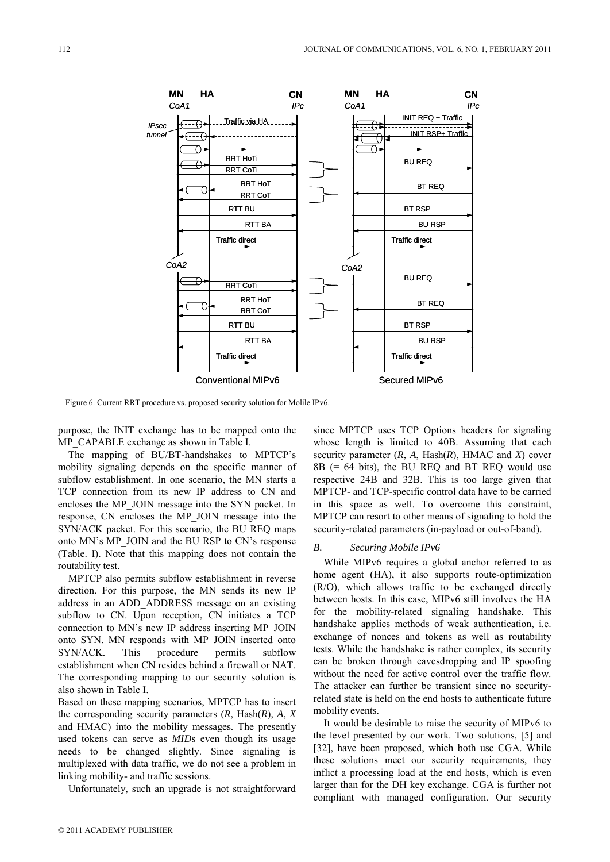

Figure 6. Current RRT procedure vs. proposed security solution for Molile IPv6.

purpose, the INIT exchange has to be mapped onto the MP\_CAPABLE exchange as shown in Table I.

The mapping of BU/BT-handshakes to MPTCP's mobility signaling depends on the specific manner of subflow establishment. In one scenario, the MN starts a TCP connection from its new IP address to CN and encloses the MP\_JOIN message into the SYN packet. In response, CN encloses the MP\_JOIN message into the SYN/ACK packet. For this scenario, the BU REQ maps onto MN's MP\_JOIN and the BU RSP to CN's response (Table. I). Note that this mapping does not contain the routability test.

MPTCP also permits subflow establishment in reverse direction. For this purpose, the MN sends its new IP address in an ADD\_ADDRESS message on an existing subflow to CN. Upon reception, CN initiates a TCP connection to MN's new IP address inserting MP\_JOIN onto SYN. MN responds with MP\_JOIN inserted onto SYN/ACK. This procedure permits subflow establishment when CN resides behind a firewall or NAT. The corresponding mapping to our security solution is also shown in Table I.

Based on these mapping scenarios, MPTCP has to insert the corresponding security parameters (*R*, Hash(*R*), *A*, *X* and HMAC) into the mobility messages. The presently used tokens can serve as *MID*s even though its usage needs to be changed slightly. Since signaling is multiplexed with data traffic, we do not see a problem in linking mobility- and traffic sessions.

Unfortunately, such an upgrade is not straightforward

since MPTCP uses TCP Options headers for signaling whose length is limited to 40B. Assuming that each security parameter (*R*, *A*, Hash(*R*), HMAC and *X*) cover 8B (= 64 bits), the BU REQ and BT REQ would use respective 24B and 32B. This is too large given that MPTCP- and TCP-specific control data have to be carried in this space as well. To overcome this constraint, MPTCP can resort to other means of signaling to hold the security-related parameters (in-payload or out-of-band).

#### *B. Securing Mobile IPv6*

While MIPv6 requires a global anchor referred to as home agent (HA), it also supports route-optimization (R/O), which allows traffic to be exchanged directly between hosts. In this case, MIPv6 still involves the HA for the mobility-related signaling handshake. This handshake applies methods of weak authentication, i.e. exchange of nonces and tokens as well as routability tests. While the handshake is rather complex, its security can be broken through eavesdropping and IP spoofing without the need for active control over the traffic flow. The attacker can further be transient since no securityrelated state is held on the end hosts to authenticate future mobility events.

It would be desirable to raise the security of MIPv6 to the level presented by our work. Two solutions, [\[5\]](#page-13-4) and [\[32\],](#page-13-29) have been proposed, which both use CGA. While these solutions meet our security requirements, they inflict a processing load at the end hosts, which is even larger than for the DH key exchange. CGA is further not compliant with managed configuration. Our security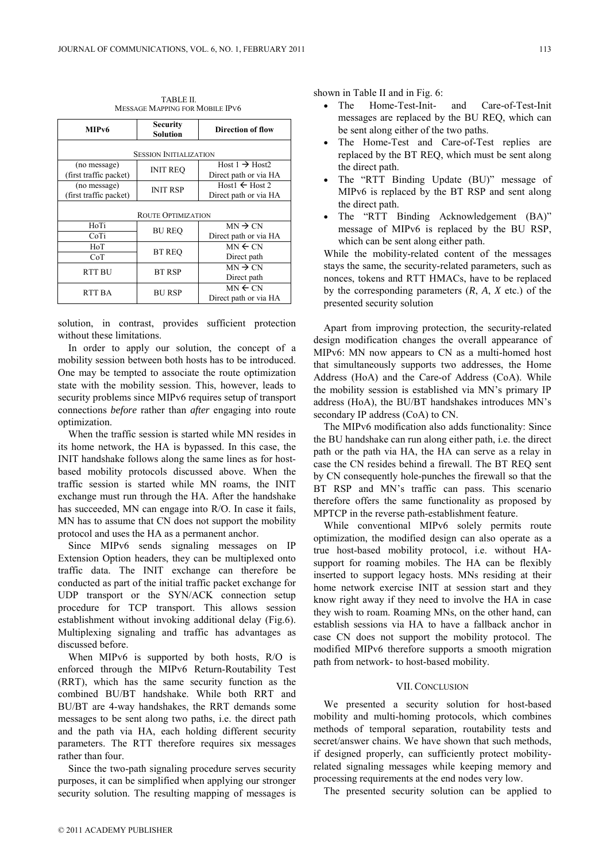| MIP <sub>v6</sub>                      | <b>Security</b><br><b>Solution</b> | <b>Direction of flow</b>                            |  |  |
|----------------------------------------|------------------------------------|-----------------------------------------------------|--|--|
| <b>SESSION INITIALIZATION</b>          |                                    |                                                     |  |  |
| (no message)<br>(first traffic packet) | <b>INIT REO</b>                    | Host $1 \rightarrow$ Host2<br>Direct path or via HA |  |  |
| (no message)<br>(first traffic packet) | <b>INIT RSP</b>                    | $Host1 \leftarrow Host2$<br>Direct path or via HA   |  |  |
| <b>ROUTE OPTIMIZATION</b>              |                                    |                                                     |  |  |
| HoTi<br>CoTi                           | <b>BU REO</b>                      | $MN \rightarrow CN$<br>Direct path or via HA        |  |  |
| HoT<br>CoT                             | <b>BT REO</b>                      | $MN \leftarrow CN$<br>Direct path                   |  |  |
| RTT BU                                 | <b>BT RSP</b>                      | $MN \rightarrow CN$<br>Direct path                  |  |  |
| RTT BA                                 | <b>BU RSP</b>                      | $MN \leftarrow CN$<br>Direct path or via HA         |  |  |

TABLE II. MESSAGE MAPPING FOR MOBILE IPV6

solution, in contrast, provides sufficient protection without these limitations.

In order to apply our solution, the concept of a mobility session between both hosts has to be introduced. One may be tempted to associate the route optimization state with the mobility session. This, however, leads to security problems since MIPv6 requires setup of transport connections *before* rather than *after* engaging into route optimization.

When the traffic session is started while MN resides in its home network, the HA is bypassed. In this case, the INIT handshake follows along the same lines as for hostbased mobility protocols discussed above. When the traffic session is started while MN roams, the INIT exchange must run through the HA. After the handshake has succeeded, MN can engage into R/O. In case it fails, MN has to assume that CN does not support the mobility protocol and uses the HA as a permanent anchor.

Since MIPv6 sends signaling messages on IP Extension Option headers, they can be multiplexed onto traffic data. The INIT exchange can therefore be conducted as part of the initial traffic packet exchange for UDP transport or the SYN/ACK connection setup procedure for TCP transport. This allows session establishment without invoking additional delay (Fig.6). Multiplexing signaling and traffic has advantages as discussed before.

When MIPv6 is supported by both hosts, R/O is enforced through the MIPv6 Return-Routability Test (RRT), which has the same security function as the combined BU/BT handshake. While both RRT and BU/BT are 4-way handshakes, the RRT demands some messages to be sent along two paths, i.e. the direct path and the path via HA, each holding different security parameters. The RTT therefore requires six messages rather than four.

Since the two-path signaling procedure serves security purposes, it can be simplified when applying our stronger security solution. The resulting mapping of messages is shown in Table II and in Fig. 6:

- The Home-Test-Init- and Care-of-Test-Init messages are replaced by the BU REQ, which can be sent along either of the two paths.
- The Home-Test and Care-of-Test replies are replaced by the BT REQ, which must be sent along the direct path.
- The "RTT Binding Update (BU)" message of MIPv6 is replaced by the BT RSP and sent along the direct path.
- The "RTT Binding Acknowledgement (BA)" message of MIPv6 is replaced by the BU RSP, which can be sent along either path.

While the mobility-related content of the messages stays the same, the security-related parameters, such as nonces, tokens and RTT HMACs, have to be replaced by the corresponding parameters (*R*, *A*, *X* etc.) of the presented security solution

Apart from improving protection, the security-related design modification changes the overall appearance of MIPv6: MN now appears to CN as a multi-homed host that simultaneously supports two addresses, the Home Address (HoA) and the Care-of Address (CoA). While the mobility session is established via MN's primary IP address (HoA), the BU/BT handshakes introduces MN's secondary IP address (CoA) to CN.

The MIPv6 modification also adds functionality: Since the BU handshake can run along either path, i.e. the direct path or the path via HA, the HA can serve as a relay in case the CN resides behind a firewall. The BT REQ sent by CN consequently hole-punches the firewall so that the BT RSP and MN's traffic can pass. This scenario therefore offers the same functionality as proposed by MPTCP in the reverse path-establishment feature.

While conventional MIPv6 solely permits route optimization, the modified design can also operate as a true host-based mobility protocol, i.e. without HAsupport for roaming mobiles. The HA can be flexibly inserted to support legacy hosts. MNs residing at their home network exercise INIT at session start and they know right away if they need to involve the HA in case they wish to roam. Roaming MNs, on the other hand, can establish sessions via HA to have a fallback anchor in case CN does not support the mobility protocol. The modified MIPv6 therefore supports a smooth migration path from network- to host-based mobility.

## VII.CONCLUSION

We presented a security solution for host-based mobility and multi-homing protocols, which combines methods of temporal separation, routability tests and secret/answer chains. We have shown that such methods, if designed properly, can sufficiently protect mobilityrelated signaling messages while keeping memory and processing requirements at the end nodes very low.

The presented security solution can be applied to